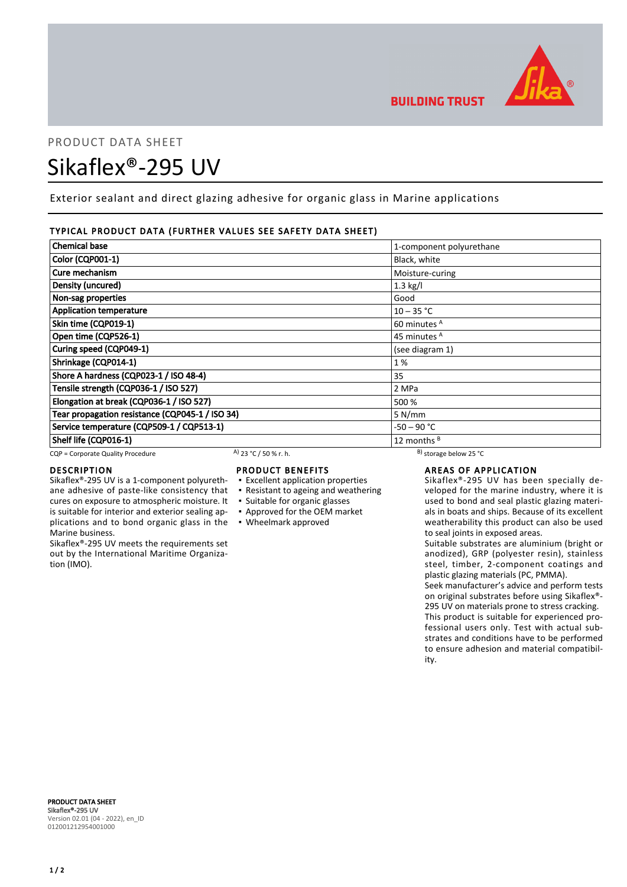

# PRODUCT DATA SHEET Sikaflex®-295 UV

Exterior sealant and direct glazing adhesive for organic glass in Marine applications

# TYPICAL PRODUCT DATA (FURTHER VALUES SEE SAFETY DATA SHEET)

| <b>Chemical base</b>                            |                        | 1-component polyurethane     |  |
|-------------------------------------------------|------------------------|------------------------------|--|
| <b>Color (CQP001-1)</b>                         |                        | Black, white                 |  |
| Cure mechanism                                  |                        | Moisture-curing              |  |
| Density (uncured)                               |                        | $1.3$ kg/l                   |  |
| Non-sag properties                              |                        | Good                         |  |
| <b>Application temperature</b>                  |                        | $10 - 35 °C$                 |  |
| Skin time (CQP019-1)                            |                        | 60 minutes <sup>A</sup>      |  |
| Open time (CQP526-1)                            |                        | 45 minutes <sup>A</sup>      |  |
| Curing speed (CQP049-1)                         |                        | (see diagram 1)              |  |
| Shrinkage (CQP014-1)                            |                        | 1%                           |  |
| Shore A hardness (CQP023-1 / ISO 48-4)          |                        | 35                           |  |
| Tensile strength (CQP036-1 / ISO 527)           |                        | 2 MPa                        |  |
| Elongation at break (CQP036-1 / ISO 527)        |                        | 500 %                        |  |
| Tear propagation resistance (CQP045-1 / ISO 34) |                        | 5 N/mm                       |  |
| Service temperature (CQP509-1 / CQP513-1)       |                        | $-50 - 90 °C$                |  |
| Shelf life (CQP016-1)                           |                        | 12 months $B$                |  |
| CQP = Corporate Quality Procedure               | A) $23 °C / 50 %r. h.$ | $^{B}$ ) storage below 25 °C |  |

cures on exposure to atmospheric moisture. It is suitable for interior and exterior sealing ap-

Sikaflex®-295 UV meets the requirements set out by the International Maritime Organiza-

# DESCRIPTION

Marine business.

tion (IMO).

# PRODUCT BENEFITS

- Sikaflex®-295 UV is a 1-component polyurethane adhesive of paste-like consistency that ▪ Excellent application properties
	- Resistant to ageing and weathering
	- Suitable for organic glasses
	- Approved for the OEM market
- plications and to bond organic glass in the Wheelmark approved

# AREAS OF APPLICATION

Sikaflex®-295 UV has been specially developed for the marine industry, where it is used to bond and seal plastic glazing materials in boats and ships. Because of its excellent weatherability this product can also be used to seal joints in exposed areas.

Suitable substrates are aluminium (bright or anodized), GRP (polyester resin), stainless steel, timber, 2-component coatings and plastic glazing materials (PC, PMMA).

Seek manufacturer's advice and perform tests on original substrates before using Sikaflex®- 295 UV on materials prone to stress cracking. This product is suitable for experienced professional users only. Test with actual substrates and conditions have to be performed to ensure adhesion and material compatibility.

PRODUCT DATA SHEET Sikaflex®-295 UV Version 02.01 (04 - 2022), en\_ID 012001212954001000